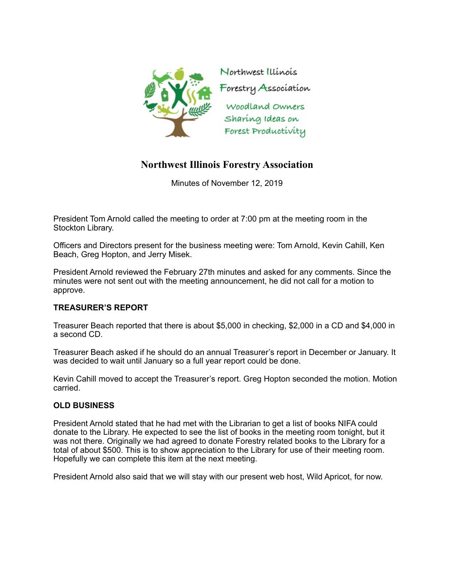

## **Northwest Illinois Forestry Association**

Minutes of November 12, 2019

President Tom Arnold called the meeting to order at 7:00 pm at the meeting room in the Stockton Library.

Officers and Directors present for the business meeting were: Tom Arnold, Kevin Cahill, Ken Beach, Greg Hopton, and Jerry Misek.

President Arnold reviewed the February 27th minutes and asked for any comments. Since the minutes were not sent out with the meeting announcement, he did not call for a motion to approve.

## **TREASURER'S REPORT**

Treasurer Beach reported that there is about \$5,000 in checking, \$2,000 in a CD and \$4,000 in a second CD.

Treasurer Beach asked if he should do an annual Treasurer's report in December or January. It was decided to wait until January so a full year report could be done.

Kevin Cahill moved to accept the Treasurer's report. Greg Hopton seconded the motion. Motion carried.

## **OLD BUSINESS**

President Arnold stated that he had met with the Librarian to get a list of books NIFA could donate to the Library. He expected to see the list of books in the meeting room tonight, but it was not there. Originally we had agreed to donate Forestry related books to the Library for a total of about \$500. This is to show appreciation to the Library for use of their meeting room. Hopefully we can complete this item at the next meeting.

President Arnold also said that we will stay with our present web host, Wild Apricot, for now.